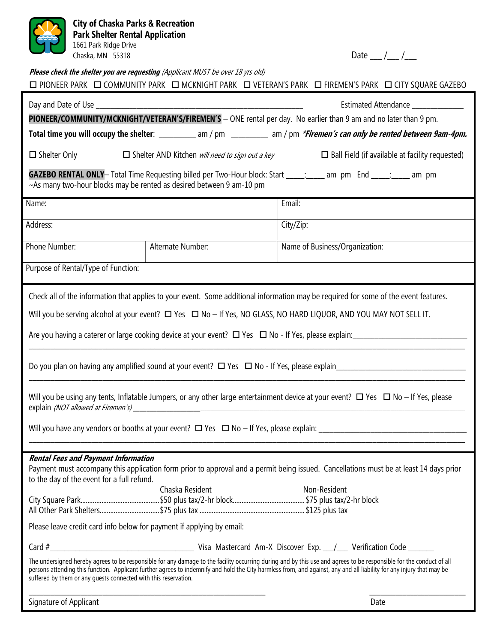| <b>City of Chaska Parks &amp; Recreation</b><br><b>Park Shelter Rental Application</b><br>1661 Park Ridge Drive<br>Chaska, MN 55318                                                                                                                                                                                                                                                                                                                                                                                                                                                   |                   | Date $_{\_}/_{\_}/$                                                                                                                                                                                                                                                                                                                                                                                                                                                                                    |
|---------------------------------------------------------------------------------------------------------------------------------------------------------------------------------------------------------------------------------------------------------------------------------------------------------------------------------------------------------------------------------------------------------------------------------------------------------------------------------------------------------------------------------------------------------------------------------------|-------------------|--------------------------------------------------------------------------------------------------------------------------------------------------------------------------------------------------------------------------------------------------------------------------------------------------------------------------------------------------------------------------------------------------------------------------------------------------------------------------------------------------------|
| Please check the shelter you are requesting (Applicant MUST be over 18 yrs old)<br>□ PIONEER PARK □ COMMUNITY PARK □ MCKNIGHT PARK □ VETERAN'S PARK □ FIREMEN'S PARK □ CITY SQUARE GAZEBO                                                                                                                                                                                                                                                                                                                                                                                             |                   |                                                                                                                                                                                                                                                                                                                                                                                                                                                                                                        |
| Estimated Attendance ____________<br>PIONEER/COMMUNITY/MCKNIGHT/VETERAN'S/FIREMEN'S - ONE rental per day. No earlier than 9 am and no later than 9 pm.<br>Total time you will occupy the shelter: __________ am / pm ________ am / pm *Firemen's can only be rented between 9am-4pm.                                                                                                                                                                                                                                                                                                  |                   |                                                                                                                                                                                                                                                                                                                                                                                                                                                                                                        |
| $\Box$ Shelter Only $\Box$ Shelter AND Kitchen <i>will need to sign out a key</i> $\Box$ Ball Field (if available at facility requested)                                                                                                                                                                                                                                                                                                                                                                                                                                              |                   |                                                                                                                                                                                                                                                                                                                                                                                                                                                                                                        |
| <b>GAZEBO RENTAL ONLY</b> — Total Time Requesting billed per Two-Hour block: Start _____: ____ am pm End _____: ____ am pm<br>~As many two-hour blocks may be rented as desired between 9 am-10 pm                                                                                                                                                                                                                                                                                                                                                                                    |                   |                                                                                                                                                                                                                                                                                                                                                                                                                                                                                                        |
| Name:                                                                                                                                                                                                                                                                                                                                                                                                                                                                                                                                                                                 |                   | Email:                                                                                                                                                                                                                                                                                                                                                                                                                                                                                                 |
| Address:                                                                                                                                                                                                                                                                                                                                                                                                                                                                                                                                                                              |                   | City/Zip:                                                                                                                                                                                                                                                                                                                                                                                                                                                                                              |
| Phone Number:                                                                                                                                                                                                                                                                                                                                                                                                                                                                                                                                                                         | Alternate Number: | Name of Business/Organization:                                                                                                                                                                                                                                                                                                                                                                                                                                                                         |
| Purpose of Rental/Type of Function:                                                                                                                                                                                                                                                                                                                                                                                                                                                                                                                                                   |                   |                                                                                                                                                                                                                                                                                                                                                                                                                                                                                                        |
| Check all of the information that applies to your event. Some additional information may be required for some of the event features.<br>Will you be serving alcohol at your event? $\Box$ Yes $\Box$ No - If Yes, NO GLASS, NO HARD LIQUOR, AND YOU MAY NOT SELL IT.<br>Are you having a caterer or large cooking device at your event? $\Box$ Yes $\Box$ No - If Yes, please explain:<br>Will you be using any tents, Inflatable Jumpers, or any other large entertainment device at your event? $\Box$ Yes $\Box$ No - If Yes, please<br><b>Rental Fees and Payment Information</b> |                   |                                                                                                                                                                                                                                                                                                                                                                                                                                                                                                        |
| to the day of the event for a full refund.<br>Please leave credit card info below for payment if applying by email:<br>suffered by them or any quests connected with this reservation.                                                                                                                                                                                                                                                                                                                                                                                                | Chaska Resident   | Payment must accompany this application form prior to approval and a permit being issued. Cancellations must be at least 14 days prior<br>Non-Resident<br>The undersigned hereby agrees to be responsible for any damage to the facility occurring during and by this use and agrees to be responsible for the conduct of all<br>persons attending this function. Applicant further agrees to indemnify and hold the City harmless from, and against, any and all liability for any injury that may be |
| Signature of Applicant                                                                                                                                                                                                                                                                                                                                                                                                                                                                                                                                                                |                   | Date                                                                                                                                                                                                                                                                                                                                                                                                                                                                                                   |